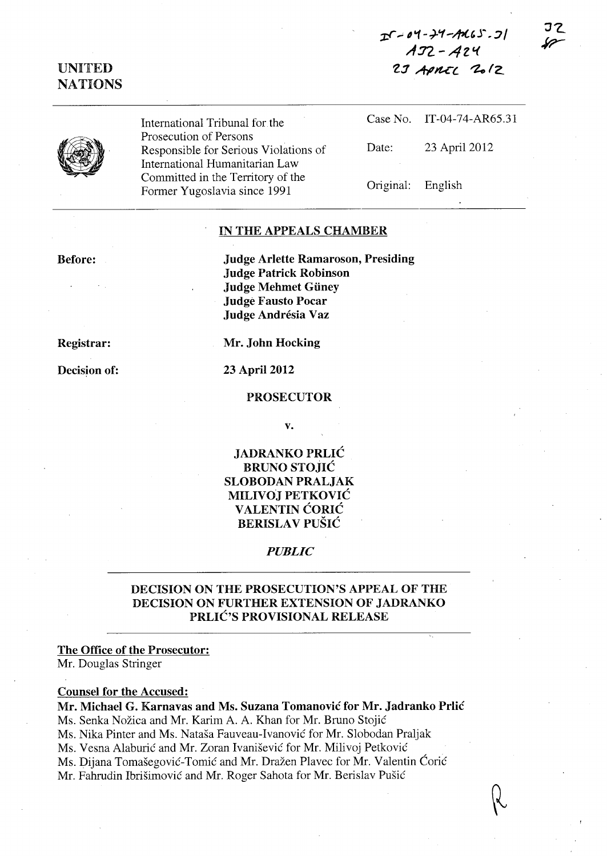## $I - 04 - 24 - 7165.5$  $A32 - A24$  $2J$  APMIL  $20/2$

JZ

## UNITED NATIONS



International Tribunal for the Prosecution of Persons Responsible for Serious Violations of International Humanitarian Law Committed in the Territory of the Former Yugoslavia since 1991

Case No. IT-04-74-AR65.31 Date: 23 April 2012 Original: English

### IN THE APPEALS CHAMBER

Before:

Judge Arlette Ramaroson, Presiding Judge Patrick Robinson Judge Mehmet Güney Judge Fausto Pocar Judge Andrésia Vaz

Registrar:

Decision of:

Mr. John Hocking

23 April 2012

#### PROSECUTOR

v.

JADRANKO PRLIC BRUNO STOJIC SLOBODAN PRALJAK MILIVO) PETKOVIC **VALENTIN CORIC BERISLAV PUŠIĆ** 

#### *PUBLIC*

### DECISION ON THE PROSECUTION'S APPEAL OF THE DECISION ON FURTHER EXTENSION OF JADRANKO PRLIC'S PROVISIONAL RELEASE

#### The Office of the Prosecutor:

Mr. Douglas Stringer

### Counsel for the Accused:

Mr. Michael G. Karnavas and Ms. Suzana Tomanovic for Mr. Jadranko Prlic Ms. Senka Nožica and Mr. Karim A. A. Khan for Mr. Bruno Stojić Ms. Nika Pinter and Ms. Natasa Fauveau-Ivanovie for Mr. Slobodan Praljak Ms. Vesna Alaburić and Mr. Zoran Ivanišević for Mr. Milivoj Petković Ms. Dijana Tomašegović-Tomić and Mr. Dražen Plavec for Mr. Valentin Ćorić Mr. Fahrudin Ibrišimović and Mr. Roger Sahota for Mr. Berislav Pušić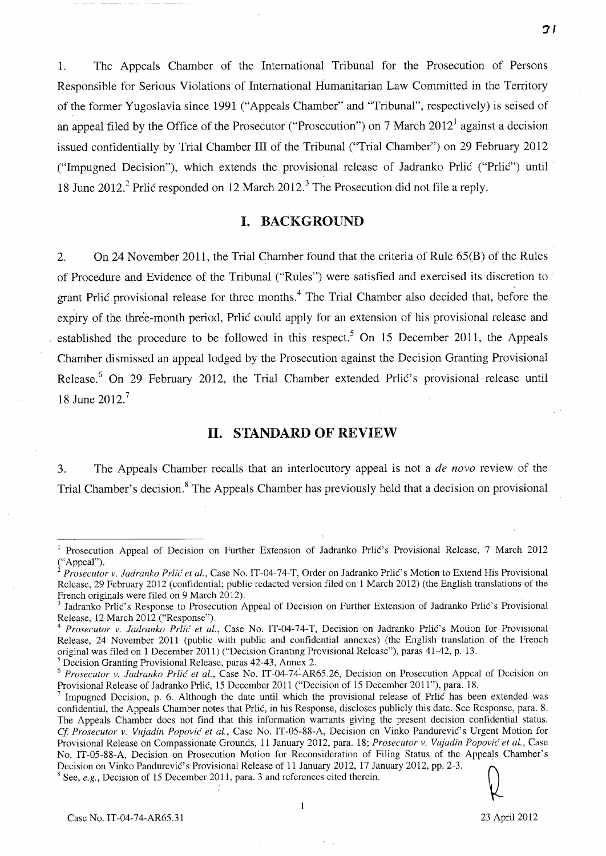1. The Appeals Chamber of the International Tribunal for the Prosecution of Persons Responsible for Serious Violations of International Humanitarian Law Committed in the Territory of the former Yugoslavia since 1991 ("Appeals Chamber" and "Tribunal", respectively) is seised of an appeal filed by the Office of the Prosecutor ("Prosecution") on 7 March  $2012<sup>1</sup>$  against a decision issued confidentially by Trial Chamber **III** of the Tribunal ("Trial Chamber") on 29 February 2012 ("Impugned Decision"), which extends the provisional release of Jadranko Prlić ("Prlić") until 18 June 2012? Prlic responded on 12 March 2012? The Prosecution did not file a reply.

### **I. BACKGROUND**

2. On 24 November 2011, the Trial Chamber found that the criteria of Rule 65(B) of the Rules of Procedure and Evidence of the Tribunal ("Rules") were satisfied and exercised its discretion to grant Prlic provisional release for three months.<sup>4</sup> The Trial Chamber also decided that, before the expiry of the three-month period, Prlic could apply for an extension of his provisional release and established the procedure to be followed in this respect.<sup>5</sup> On 15 December 2011, the Appeals Chamber dismissed an appeal lodged by the Prosecution against the Decision Granting Provisional Release.<sup>6</sup> On 29 February 2012, the Trial Chamber extended Prlic's provisional release until 18 June 2012.7

### **11. STANDARD OF REVIEW**

3. The Appeals Chamber recalls that an interlocutory appeal is not a *de novo* review of the Trial Chamber's decision.<sup>8</sup> The Appeals Chamber has previously held that a decision on provisional

5 Decision Granting Provisional Release, paras 42-43, Annex 2.

<sup>8</sup> See, *e.g.*, Decision of 15 December 2011, para. 3 and references cited therein.

1

*-:11* 

Prosecution Appeal of Decision on Further Extension of Jadranko Prlic's Provisional Release, 7 March 2012 ("Appeal").

Prosecutor v. Jadranko Prlić et al., Case No. IT-04-74-T, Order on Jadranko Prlić's Motion to Extend His Provisional Release, 29 February 2012 (confidential; public redacted version filed on 1 March 2012) (the English translations of the French originals were filed on 9 March 2012).

Jadranko Prlić's Response to Prosecution Appeal of Decision on Further Extension of Jadranko Prlić's Provisional Release, 12 March 2012 ("Response").

Prosecutor v. Jadranko Prlić et al., Case No. IT-04-74-T, Decision on Jadranko Prlić's Motion for Provisional Release, 24 November 2011 (public with public and confidential annexes) (the English translation of the French original was filed on 1 December 2011) ("Decision Granting Provisional Release"), paras 41-42, p. 13.

*<sup>6</sup> Prosecutor v. ladranko Prlic et aI.,* Case No. IT-04-74~AR65.26, Decision on Prosecution Appeal of Decision on Provisional Release of Jadranko Prlic, 15 December 2011 ("Decision of 15 December 2011"), para. 18.

Impugned Decision, p. 6. Although the date until which the provisional release of Prlic has been extended was confidential, the Appeals Chamber notes that Prlic, in his Response, discloses publicly this date. See Response, para. 8. The Appeals Chamber does not find that this information warrants giving the present decision confidential status. Cf. Prosecutor v. Vujadin Popović et al., Case No. IT-05-88-A, Decision on Vinko Pandurević's Urgent Motion for Provisional Release on Compassionate Grounds, 11 January 2012, para. 18; *Prosecutor v. Vujadin Popovic et aI.,* Case No. IT-05-88-A, Decision on Prosecution Motion for Reconsideration of Filing Status of the Appeals Chamber's Decision on Vinko Pandurević's Provisional Release of 11 January 2012, 17 January 2012, pp. 2-3.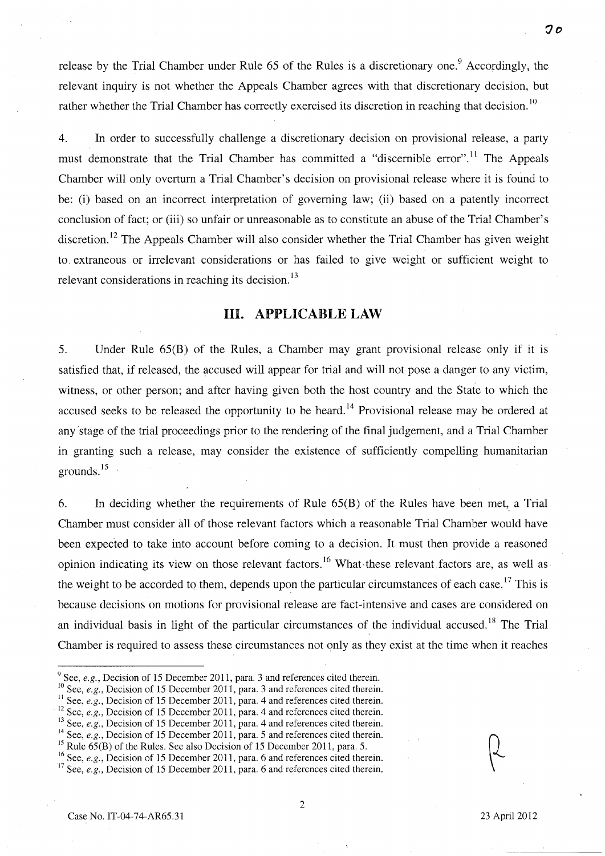release by the Trial Chamber under Rule  $65$  of the Rules is a discretionary one.<sup>9</sup> Accordingly, the relevant inquiry is not whether the Appeals Chamber agrees with that discretionary decision, but rather whether the Trial Chamber has correctly exercised its discretion in reaching that decision.<sup>10</sup>

4. **In** order to successfully challenge a discretionary decision on provisional release, a party must demonstrate that the Trial Chamber has committed a "discernible error".<sup>11</sup> The Appeals Chamber will only overturn a Trial Chamber's decision on provisional release where it is found to be: (i) based on an incorrect interpretation of governing law; (ii) based on a patently incorrect conclusion of fact; or (iii) so unfair or unreasonable as to constitute an abuse of the Trial Chamber's discretion.<sup>12</sup> The Appeals Chamber will also consider whether the Trial Chamber has given weight to. extraneous or irrelevant considerations or has failed to give weight or sufficient weight to relevant considerations in reaching its decision. $^{13}$ 

### **Ill. APPLICABLE LAW**

5. Under Rule 65(B) of the Rules, a Chamber may grant provisional release only if it is satisfied that, if released, the accused will appear for trial and will not pose a danger to any victim, witness, or other person; and after having given both the host country and the State to which the accused seeks to be released the opportunity to be heard.<sup>14</sup> Provisional release may be ordered at any 'stage of the trial proceedings prior to the rendering of the final judgement, and a Trial Chamber in granting such a release, may consider the existence of sufficiently compelling humanitarian grounds. $15$ 

6. In deciding whether the requirements of Rule  $65(B)$  of the Rules have been met, a Trial Chamber must consider all of those relevant factors which a reasonable Trial Chamber would have been expected to take into account before coming to a decision. It must then provide a reasoned opinion indicating its view on those relevant factors.<sup>16</sup> What these relevant factors are, as well as the weight to be accorded to them, depends upon the particular circumstances of each case.<sup>17</sup> This is because decisions on motions for provisional release are fact-intensive and cases are considered on an individual basis in light of the particular circumstances of the individual accused.<sup>18</sup> The Trial Chamber is required to assess these circumstances not only as they exist at the time when it reaches

- <sup>9</sup> See, *e.g.*, Decision of 15 December 2011, para. 3 and references cited therein.
- <sup>10</sup> See, *e.g.*, Decision of 15 December 2011, para. 3 and references cited therein.
- <sup>11</sup> See, *e.g.*, Decision of 15 December 2011, para. 4 and references cited therein.
- <sup>12</sup> See, *e.g.*, Decision of 15 December 2011, para. 4 and references cited therein.
- <sup>13</sup> See, *e.g.*, Decision of 15 December 2011, para. 4 and references cited therein.
- <sup>14</sup> See, *e.g.*, Decision of 15 December 2011, para. 5 and references cited therein.

<sup>&</sup>lt;sup>15</sup> Rule  $65(B)$  of the Rules. See also Decision of 15 December 2011, para. 5.

<sup>&</sup>lt;sup>16</sup> See, *e.g.*, Decision of 15 December 2011, para. 6 and references cited therein.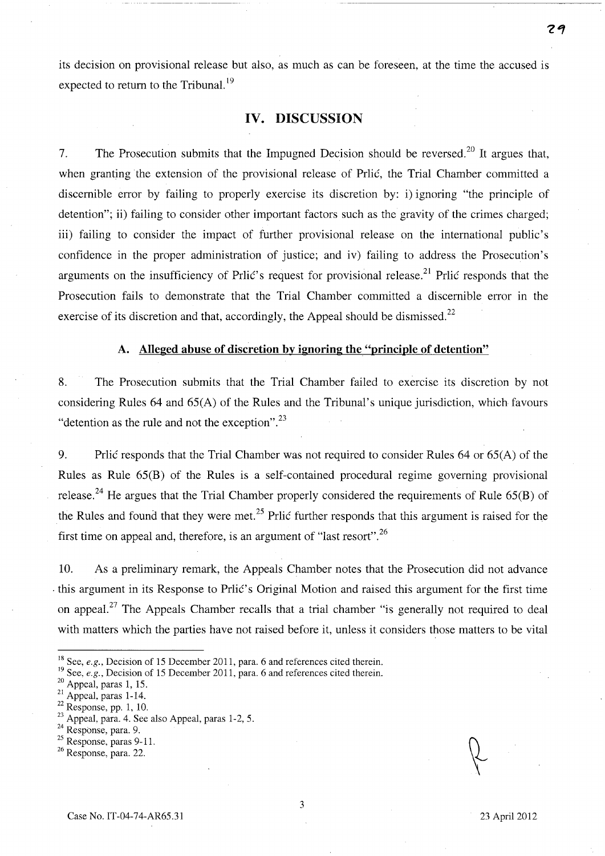its decision on provisional release but also, as much as can be foreseen, at the time the accused is expected to return to the Tribunal.<sup>19</sup>

### **IV. DISCUSSION**

7. The Prosecution submits that the Impugned Decision should be reversed.<sup>20</sup> It argues that, when granting the extension of the provisional release of Prlic, the Trial Chamber committed a discernible error by failing to properly exercise its discretion by: i) ignoring "the principle of detention"; ii) failing to consider other important factors such as the gravity of the crimes charged; iii) failing to consider the impact of further provisional release on the international public's confidence in the proper administration of justice; and iv) failing to address the Prosecution's arguments on the insufficiency of Prlic's request for provisional release.<sup>21</sup> Prlic responds that the Prosecution fails to demonstrate that the Trial Chamber committed a discernible error in the exercise of its discretion and that, accordingly, the Appeal should be dismissed.<sup>22</sup>

#### **A. Alleged abuse of discretion by ignoring the "principle of detention"**

8. The Prosecution submits that the Trial Chamber failed to exercise its discretion by not considering Rules 64 and 65(A) of the Rules and the Tribunal's unique jurisdiction, which favours "detention as the rule and not the exception". $^{23}$ 

9. Prlic responds that the Trial Chamber was not required to consider Rules 64 or 65(A) of the Rules as Rule 65(B) of the Rules is a self-contained procedural regime governing provisional release.<sup>24</sup> He argues that the Trial Chamber properly considered the requirements of Rule 65(B) of the Rules and found that they were met.<sup>25</sup> Prlic further responds that this argument is raised for the first time on appeal and, therefore, is an argument of "last resort". 26

10. As a preliminary remark, the Appeals Chamber notes that the Prosecution did not advance . this argument in its Response to PrliC's Original Motion and raised this argument for the first time on appeal.<sup>27</sup> The Appeals Chamber recalls that a trial chamber "is generally not required to deal with matters which the parties have not raised before it, unless it considers those matters to be vital

<sup>&</sup>lt;sup>18</sup> See, *e.g.*, Decision of 15 December 2011, para. 6 and references cited therein.

<sup>&</sup>lt;sup>19</sup> See, *e.g.*, Decision of 15 December 2011, para. 6 and references cited therein.

<sup>&</sup>lt;sup>20</sup> Appeal, paras 1, 15.

 $^{21}$  Appeal, paras 1-14.

 $22$  Response, pp. 1, 10.

 $23$  Appeal, para. 4. See also Appeal, paras 1-2, 5.

<sup>&</sup>lt;sup>24</sup> Response, para. 9.

<sup>&</sup>lt;sup>25</sup> Response, paras 9-11.

<sup>26</sup> Response, para. 22.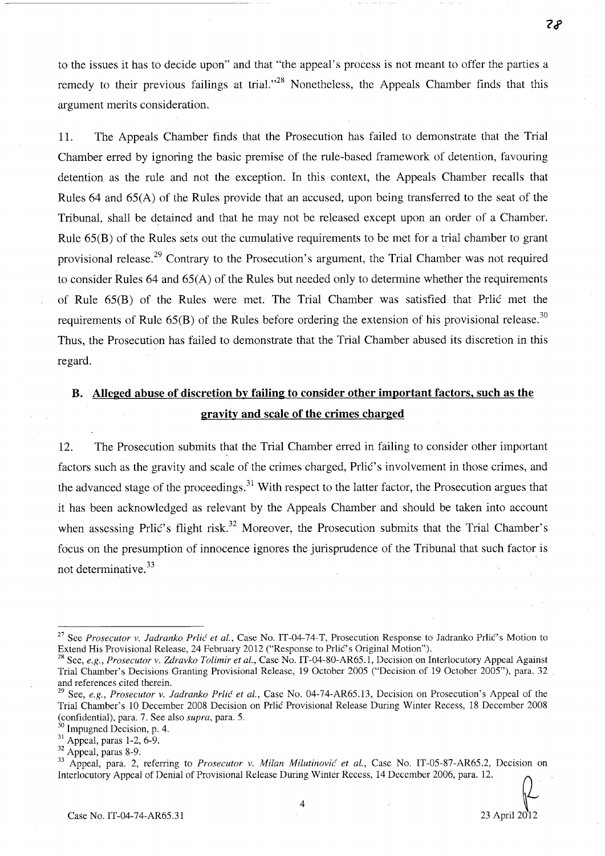to the issues it has to decide upon" and that "the appeal's process is not meant to offer the parties a remedy to their previous failings at trial."<sup>28</sup> Nonetheless, the Appeals Chamber finds that this argument merits consideration.

11. The Appeals Chamber finds that the Prosecution has failed to demonstrate that the Trial Chamber erred by ignoring the basic premise of the rule-based framework of detention, favouring detention as the rule and not the exception. In this context, the Appeals Chamber recalls that Rules 64 and 65(A) of the Rules provide that an accused, upon being transferred to the seat of the Tribunal, shall be detained and that he may not be released except upon an order of a Chamber. Rule 65(B) of the Rules sets out the cumulative requirements to be met for a trial chamber to grant provisional release.<sup>29</sup> Contrary to the Prosecution's argument, the Trial Chamber was not required to consider Rules 64 and 65(A) of the Rules but needed only to determine whether the requirements of Rule 65(B) of the Rules were met. The Trial Chamber was satisfied that Prlic met the requirements of Rule  $65(B)$  of the Rules before ordering the extension of his provisional release.<sup>30</sup> Thus, the Prosecution has failed to demonstrate that the Trial Chamber abused its discretion in this regard.

## B. **Alleged abuse of discretion by failing to consider other important factors, such as the gravity and scale of the crimes charged**

12. The Prosecution submits that the Trial Chamber erred in failing to consider other important factors such as the gravity and scale of the crimes charged, Prlic's involvement in those crimes, and the advanced stage of the proceedings.<sup>31</sup> With respect to the latter factor, the Prosecution argues that it has been acknowledged as relevant by the Appeals Chamber and should be taken into account when assessing Prlic's flight risk.<sup>32</sup> Moreover, the Prosecution submits that the Trial Chamber's focus on the presumption of innocence ignores the jurisprudence of the Tribunal that such factor is not determinative. <sup>33</sup>

<sup>&</sup>lt;sup>27</sup> See *Prosecutor v. Jadranko Prlić et al.*, Case No. IT-04-74-T, Prosecution Response to Jadranko Prlić's Motion to Extend His Provisional Release, 24 February 2012 ("Response to Prlic's Original Motion").

<sup>&</sup>lt;sup>28</sup> See, *e.g., Prosecutor v. Zdravko Tolimir et al., Case No. IT-04-80-AR65.1, Decision on Interlocutory Appeal Against* Trial Chamber's Decisions Granting Provisional Release, 19 October 200S ("Decision of 19 October 200S"), para. 32 and references cited therein.

<sup>29</sup> See, *e.g., Prosecutor v. ladranko Prlic et aI.,* Case No. 04-74-AR6S.13, Decision on Prosecution's Appeal of the Trial Chamber's 10 December 2008 Decision on Prlic Provisional Release During Winter Recess, 18 December 2008 (confidential), para. 7. See also *supra,* para. S.

 $<sup>0</sup>$  Impugned Decision, p. 4.</sup>

 $31$  Appeal, paras 1-2, 6-9.

<sup>32</sup> Appeal, paras 8-9.

<sup>&</sup>lt;sup>33</sup> Appeal, para. 2, referring to *Prosecutor v. Milan Milutinović et al.*, Case No. IT-05-87-AR65.2, Decision on Interlocutory Appeal of Denial of Provisional Release During Winter Recess, 14 December 2006, para. 12.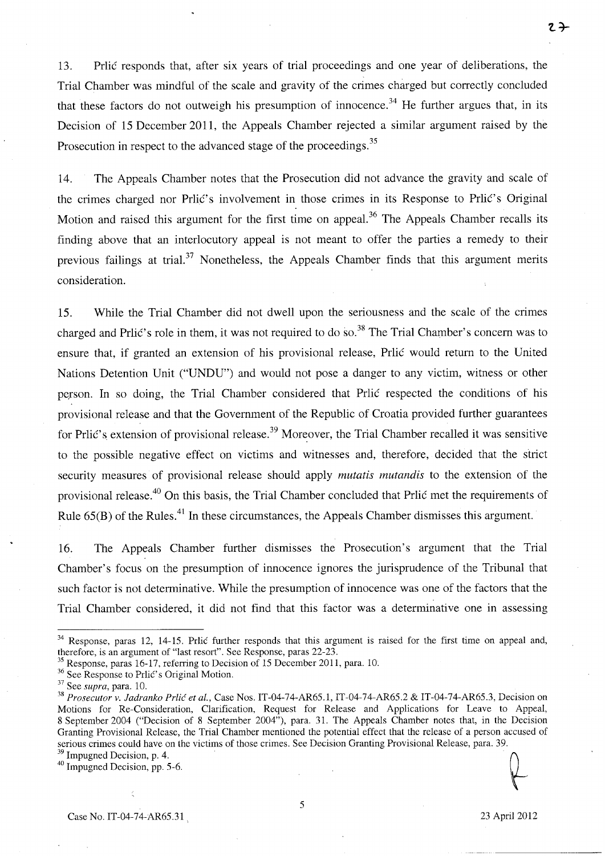13. Prlic responds that, after six years of trial proceedings and one year of deliberations, the Trial Chamber was mindful of the scale and gravity of the crimes charged but correctly concluded that these factors do not outweigh his presumption of innocence.<sup>34</sup> He further argues that, in its Decision of 15 December 2011, the Appeals Chamber rejected a similar argument raised by the Prosecution in respect to the advanced stage of the proceedings.<sup>35</sup>

14. The Appeals Chamber notes that the Prosecution did not advance the gravity and scale of the crimes charged nor Prlic's involvement in those crimes in its Response to Prlic's Original Motion and raised this argument for the first time on appeal.<sup>36</sup> The Appeals Chamber recalls its finding above that an interlocutory appeal is not meant to offer the parties a remedy to their previous failings at trial.<sup>37</sup> Nonetheless, the Appeals Chamber finds that this argument merits consideration.

15. While the Trial Chamber did not dwell upon the seriousness and the scale of the crimes charged and Prlic's role in them, it was not required to do so.<sup>38</sup> The Trial Chamber's concern was to ensure that, if granted an extension of his provisional release, Prlic would return to the United Nations Detention Unit ("UNDU") and would not pose a danger to any victim, witness or other person. In so doing, the Trial Chamber considered that Prlic respected the conditions of his provisional release and that the Government of the Republic of Croatia provided further guarantees for Prlic's extension of provisional release.<sup>39</sup> Moreover, the Trial Chamber recalled it was sensitive to the possible negative effect on victims and witnesses and, therefore, decided that the strict security measures of provisional release should apply *mutatis mutandis* to the extension of the provisional release.<sup>40</sup> On this basis, the Trial Chamber concluded that Prlic met the requirements of Rule 65(B) of the Rules.<sup>41</sup> In these circumstances, the Appeals Chamber dismisses this argument.

16. The Appeals Chamber further dismisses the Prosecution's argument that the Trial Chamber's focus on the presumption of innocence ignores the jurisprudence of the Tribunal that such factor is not determinative. While the presumption of innocence was one of the factors that the Trial Chamber considered, it did not find that this factor was a determinative one in assessing

2<sup>→</sup>

<sup>&</sup>lt;sup>34</sup> Response, paras 12, 14-15. Prlic further responds that this argument is raised for the first time on appeal and, therefore, is an argument of "last resort". See Response, paras 22-23.

Response, paras 16-17, referring to Decision of 15 December 2011, para. 10.

<sup>&</sup>lt;sup>36</sup> See Response to Prlic's Original Motion.

<sup>37</sup> See *supra,* para. 10.

<sup>&</sup>lt;sup>38</sup> Prosecutor v. Jadranko Prlić et al., Case Nos. IT-04-74-AR65.1, IT-04-74-AR65.2 & IT-04-74-AR65.3, Decision on Motions for Re-Consideration, Clarification, Request for Release and Applications for Leave to Appeal, 8 September 2004 ("Decision of 8 September 2004"), para. 31. The Appeals Chamber notes that, in the Decision Granting Provisional Release, the Trial Chamber mentioned the potential effect that the release of a person accused of serious crimes could have on the victims of those crimes. See Decision Granting Provisional Release, para. 39. Granting Provisional Release, the Trial Chamber mentioned the potential effect that the release of a person accused<br>serious crimes could have on the victims of those crimes. See Decision Granting Provisional Release, para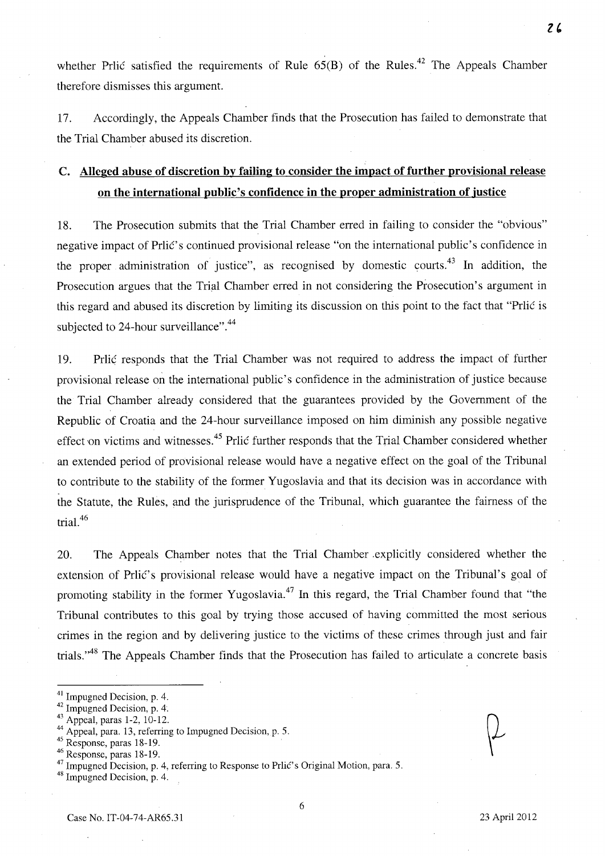whether Prlic satisfied the requirements of Rule  $65(B)$  of the Rules.<sup>42</sup> The Appeals Chamber therefore dismisses this argument.

17. Accordingly, the Appeals Chamber finds that the Prosecution has failed to demonstrate that the Trial Chamber abused its discretion.

# **c. Alleged abuse of discretion by failing to consider the impact of further provisional release on the international public's confidence in the proper administration of justice**

18. The Prosecution submits that the Trial Chamber erred in failing to consider the "obvious" negative impact of Prlic's continued provisional release "on the international public's confidence in the proper administration of justice", as recognised by domestic courts.<sup>43</sup> In addition, the Prosecution argues that the Trial Chamber erred in not considering the Prosecution's argument in this regard and abused its discretion by limiting its discussion on this point to the fact that "Prlic is subjected to 24-hour surveillance".<sup>44</sup>

19. Prlic responds that the Trial Chamber was not required to address the impact of further provisional release on the international public's confidence in the administration of justice because the Trial Chamber already considered that the guarantees provided by the Government of the Republic of Croatia and the 24-hour surveillance imposed on him diminish any possible negative effect on victims and witnesses.<sup>45</sup> Prlic further responds that the Trial Chamber considered whether an extended period of provisional release would have a negative effect on the goal of the Tribunal to contribute to the stability of the former Yugoslavia and that its decision was in accordance with the Statute, the Rules, and the jurisprudence of the Tribunal, which guarantee the fairness of the trial. $46$ 

20. The Appeals Chamber notes that the Trial Chamber .explicitly considered whether the extension of Prlic's provisional release would have a negative impact on the Tribunal's goal of promoting stability in the former Yugoslavia.47 **In** this regard, the Trial Chamber found that "the Tribunal contributes to this goal by trying those accused of having committed the most serious crimes in the region and by delivering justice to the victims of these crimes through just and fair trials.<sup>,,48</sup> The Appeals Chamber finds that the Prosecution has failed to articulate a concrete basis

48 Impugned Decision, p. 4.

<sup>41</sup> Impugned Decision, p. 4.

<sup>42</sup> Impugned Decision, p. 4.

<sup>43</sup> Appeal, paras 1-2, 10-12.

<sup>44</sup> Appeal, para. 13, referring to Impugned Decision, p. 5.

 $45$  Response, paras 18-19.

<sup>46</sup> Response, paras 18-19.

<sup>&</sup>lt;sup>47</sup> Impugned Decision, p. 4, referring to Response to Prlic's Original Motion, para. 5.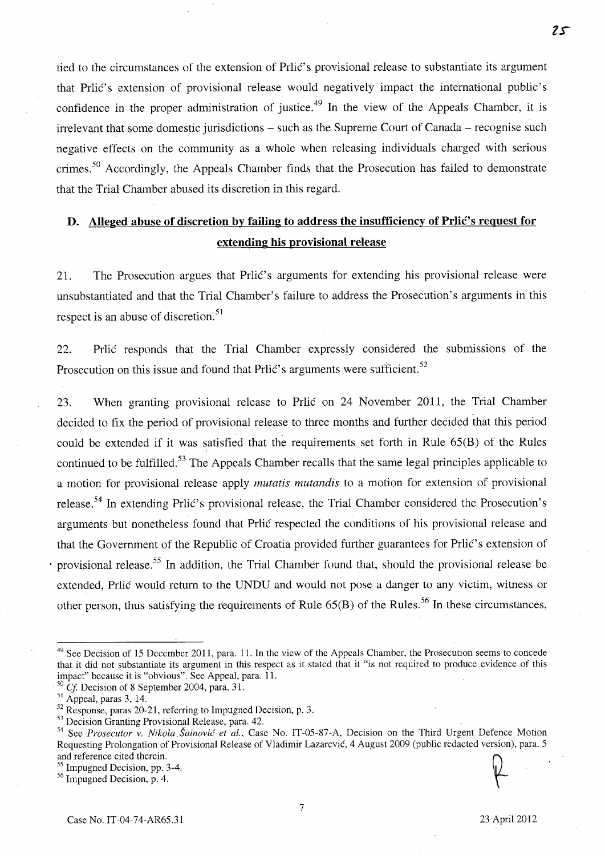tied to the circumstances of the extension of Prlic's provisional release to substantiate its argument that Prlic's extension of provisional release would negatively impact the international public's confidence in the proper administration of justice.<sup>49</sup> In the view of the Appeals Chamber, it is irrelevant that some domestic jurisdictions – such as the Supreme Court of Canada – recognise such negative effects on the community as a whole when releasing individuals charged with serious crimes.<sup>50</sup> Accordingly, the Appeals Chamber finds that the Prosecution has failed to demonstrate that the Trial Chamber abused its discretion in this regard.

# **D.** Alleged abuse of discretion by failing to address the insufficiency of Prlic's request for **extending his provisional release**

2l. The Prosecution argues that Prlic's arguments for extending his provisional release were unsubstantiated and that the Trial Chamber's failure to address the Prosecution's arguments in this respect is an abuse of discretion.<sup>51</sup>

22. Prlic responds that the Trial Chamber expressly considered the submissions of the Prosecution on this issue and found that Prlic's arguments were sufficient.<sup>52</sup>

23. When granting provisional release to Prlic on 24 November 2011, the Trial Chamber decided to fix the period of provisional release to three months and further decided that this period could be extended if it was satisfied that the requirements set forth in Rule 65(B) of the Rules continued to be fulfilled.<sup>53</sup> The Appeals Chamber recalls that the same legal principles applicable to a motion for provisional release apply *mutatis mutandis* to a motion for extension of provisional release.<sup>54</sup> In extending Prlic's provisional release, the Trial Chamber considered the Prosecution's arguments but nonetheless found that Prlic respected the conditions of his provisional release and that the Government of the Republic of Croatia provided further guarantees for Prlic's extension of provisional release.<sup>55</sup> In addition, the Trial Chamber found that, should the provisional release be extended, Prlic would return to the UNDU and would not pose a danger to any victim, witness or other person, thus satisfying the requirements of Rule  $65(B)$  of the Rules.<sup>56</sup> In these circumstances,

<sup>56</sup> Impugned Decision, p. 4.

<sup>&</sup>lt;sup>49</sup> See Decision of 15 December 2011, para. 11. In the view of the Appeals Chamber, the Prosecution seems to concede that it did not substantiate its argument in this respect as it stated that it "is not required to produce evidence of this impact" because it is "obvious". See Appeal, para. 11.

 $^{50}$  Cf. Decision of 8 September 2004, para. 31.

 $<sup>51</sup>$  Appeal, paras 3, 14.</sup>

<sup>&</sup>lt;sup>52</sup> Response, paras 20-21, referring to Impugned Decision, p. 3.

<sup>&</sup>lt;sup>53</sup> Decision Granting Provisional Release, para. 42.

<sup>&</sup>lt;sup>54</sup> See *Prosecutor v. Nikola Šainović et al.*, Case No. IT-05-87-A, Decision on the Third Urgent Defence Motion Requesting Prolongation of Provisional Release of Vladimir Lazarevic, 4 August 2009 (public redacted version), para. 5 and reference cited therein.

<sup>55</sup> Impugned Decision, pp. 3-4.